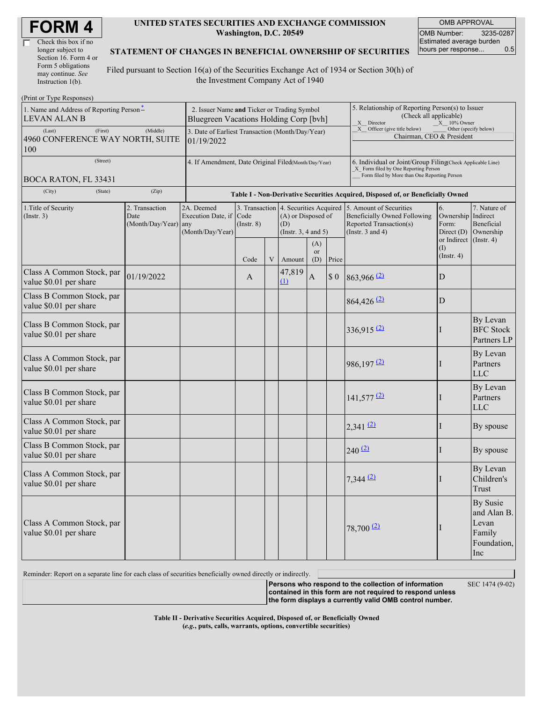| Check this box if no  |
|-----------------------|
| longer subject to     |
| Section 16. Form 4 or |
| Form 5 obligations    |
| may continue. See     |
| Instruction $1(b)$ .  |

 $(D_{\text{rint}} \text{ or } \text{T} \text{ and } \text{Do}$ 

#### **UNITED STATES SECURITIES AND EXCHANGE COMMISSION Washington, D.C. 20549**

OMB APPROVAL OMB Number: 3235-0287 Estimated average burden hours per response... 0.5

#### **STATEMENT OF CHANGES IN BENEFICIAL OWNERSHIP OF SECURITIES**

Filed pursuant to Section 16(a) of the Securities Exchange Act of 1934 or Section 30(h) of the Investment Company Act of 1940

| $(1 \text{ m} \omega \text{ m})$                                |                                                                                       |                                                      |                                                                                  |   |                                                                                                |                                                                                                                                                                                                    |        |                                                                                                             |                                        |                                                                         |  |  |  |  |
|-----------------------------------------------------------------|---------------------------------------------------------------------------------------|------------------------------------------------------|----------------------------------------------------------------------------------|---|------------------------------------------------------------------------------------------------|----------------------------------------------------------------------------------------------------------------------------------------------------------------------------------------------------|--------|-------------------------------------------------------------------------------------------------------------|----------------------------------------|-------------------------------------------------------------------------|--|--|--|--|
| 1. Name and Address of Reporting Person-<br><b>LEVAN ALAN B</b> | 2. Issuer Name and Ticker or Trading Symbol<br>Bluegreen Vacations Holding Corp [bvh] |                                                      |                                                                                  |   |                                                                                                | 5. Relationship of Reporting Person(s) to Issuer<br>(Check all applicable)<br>X Director<br>$X = 10\%$ Owner<br>X Officer (give title below)<br>Other (specify below)<br>Chairman, CEO & President |        |                                                                                                             |                                        |                                                                         |  |  |  |  |
| (First)<br>(Last)<br>4960 CONFERENCE WAY NORTH, SUITE<br>100    | 3. Date of Earliest Transaction (Month/Day/Year)<br>01/19/2022                        |                                                      |                                                                                  |   |                                                                                                |                                                                                                                                                                                                    |        |                                                                                                             |                                        |                                                                         |  |  |  |  |
| (Street)<br>BOCA RATON, FL 33431                                | 4. If Amendment, Date Original Filed(Month/Day/Year)                                  |                                                      |                                                                                  |   |                                                                                                | 6. Individual or Joint/Group Filing Check Applicable Line)<br>X Form filed by One Reporting Person<br>Form filed by More than One Reporting Person                                                 |        |                                                                                                             |                                        |                                                                         |  |  |  |  |
| (City)<br>(State)                                               | (Zip)                                                                                 |                                                      | Table I - Non-Derivative Securities Acquired, Disposed of, or Beneficially Owned |   |                                                                                                |                                                                                                                                                                                                    |        |                                                                                                             |                                        |                                                                         |  |  |  |  |
| 1. Title of Security<br>(Insert. 3)                             | 2. Transaction<br>Date<br>(Month/Day/Year) any                                        | 2A. Deemed<br>Execution Date, if<br>(Month/Day/Year) | Code<br>$($ Instr. $8)$                                                          |   | 3. Transaction 4. Securities Acquired<br>(A) or Disposed of<br>(D)<br>(Instr. $3, 4$ and $5$ ) |                                                                                                                                                                                                    |        | 5. Amount of Securities<br>Beneficially Owned Following<br>Reported Transaction(s)<br>(Instr. $3$ and $4$ ) | 6.<br>Ownership<br>Form:<br>Direct (D) | 7. Nature of<br>Indirect<br>Beneficial<br>Ownership                     |  |  |  |  |
|                                                                 |                                                                                       |                                                      | Code                                                                             | V | Amount                                                                                         | (A)<br><b>or</b><br>(D)                                                                                                                                                                            | Price  |                                                                                                             | or Indirect<br>(I)<br>$($ Instr. 4 $)$ | $($ Instr. 4 $)$                                                        |  |  |  |  |
| Class A Common Stock, par<br>value \$0.01 per share             | 01/19/2022                                                                            |                                                      | A                                                                                |   | 47,819<br>$\Omega$                                                                             | $\boldsymbol{A}$                                                                                                                                                                                   | $\$$ 0 | $863,966$ <sup>(2)</sup>                                                                                    | D                                      |                                                                         |  |  |  |  |
| Class B Common Stock, par<br>value \$0.01 per share             |                                                                                       |                                                      |                                                                                  |   |                                                                                                |                                                                                                                                                                                                    |        | $864,426$ <sup>(2)</sup>                                                                                    | D                                      |                                                                         |  |  |  |  |
| Class B Common Stock, par<br>value \$0.01 per share             |                                                                                       |                                                      |                                                                                  |   |                                                                                                |                                                                                                                                                                                                    |        | $336,915$ <sup>(2)</sup>                                                                                    |                                        | By Levan<br><b>BFC</b> Stock<br>Partners LP                             |  |  |  |  |
| Class A Common Stock, par<br>value \$0.01 per share             |                                                                                       |                                                      |                                                                                  |   |                                                                                                |                                                                                                                                                                                                    |        | $986,197$ <sup>(2)</sup>                                                                                    |                                        | By Levan<br>Partners<br><b>LLC</b>                                      |  |  |  |  |
| Class B Common Stock, par<br>value \$0.01 per share             |                                                                                       |                                                      |                                                                                  |   |                                                                                                |                                                                                                                                                                                                    |        | $141,577$ <sup>(2)</sup>                                                                                    |                                        | By Levan<br>Partners<br><b>LLC</b>                                      |  |  |  |  |
| Class A Common Stock, par<br>value \$0.01 per share             |                                                                                       |                                                      |                                                                                  |   |                                                                                                |                                                                                                                                                                                                    |        | $2,341$ (2)                                                                                                 | I                                      | By spouse                                                               |  |  |  |  |
| Class B Common Stock, par<br>value \$0.01 per share             |                                                                                       |                                                      |                                                                                  |   |                                                                                                |                                                                                                                                                                                                    |        | 240(2)                                                                                                      |                                        | By spouse                                                               |  |  |  |  |
| Class A Common Stock, par<br>value \$0.01 per share             |                                                                                       |                                                      |                                                                                  |   |                                                                                                |                                                                                                                                                                                                    |        | $7,344$ (2)                                                                                                 |                                        | By Levan<br>Children's<br>Trust                                         |  |  |  |  |
| Class A Common Stock, par<br>value \$0.01 per share             |                                                                                       |                                                      |                                                                                  |   |                                                                                                |                                                                                                                                                                                                    |        | $78,700$ $(2)$                                                                                              |                                        | <b>By Susie</b><br>and Alan B.<br>Levan<br>Family<br>Foundation,<br>Inc |  |  |  |  |

Reminder: Report on a separate line for each class of securities beneficially owned directly or indirectly.

**Persons who respond to the collection of information** SEC 1474 (9-02)

**contained in this form are not required to respond unless the form displays a currently valid OMB control number.**

**Table II - Derivative Securities Acquired, Disposed of, or Beneficially Owned (***e.g.***, puts, calls, warrants, options, convertible securities)**